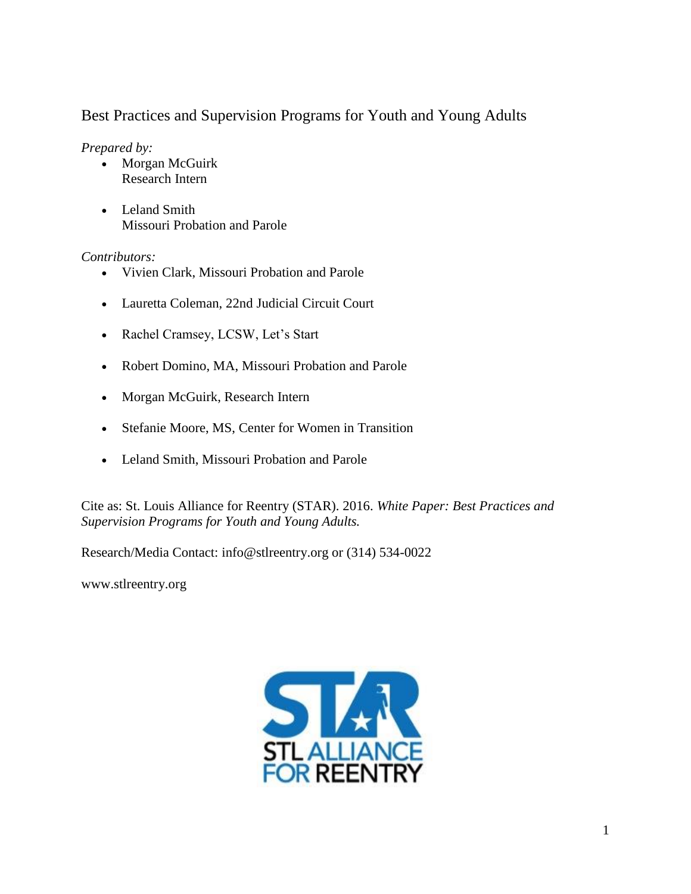# Best Practices and Supervision Programs for Youth and Young Adults

*Prepared by:*

- Morgan McGuirk Research Intern
- Leland Smith Missouri Probation and Parole

### *Contributors:*

- Vivien Clark, Missouri Probation and Parole
- Lauretta Coleman, 22nd Judicial Circuit Court
- Rachel Cramsey, LCSW, Let's Start
- Robert Domino, MA, Missouri Probation and Parole
- Morgan McGuirk, Research Intern
- Stefanie Moore, MS, Center for Women in Transition
- Leland Smith, Missouri Probation and Parole

Cite as: St. Louis Alliance for Reentry (STAR). 2016. *White Paper: Best Practices and Supervision Programs for Youth and Young Adults.*

Research/Media Contact: info@stlreentry.org or (314) 534-0022

[www.stlreentry.org](http://www.stlreentry.org/)

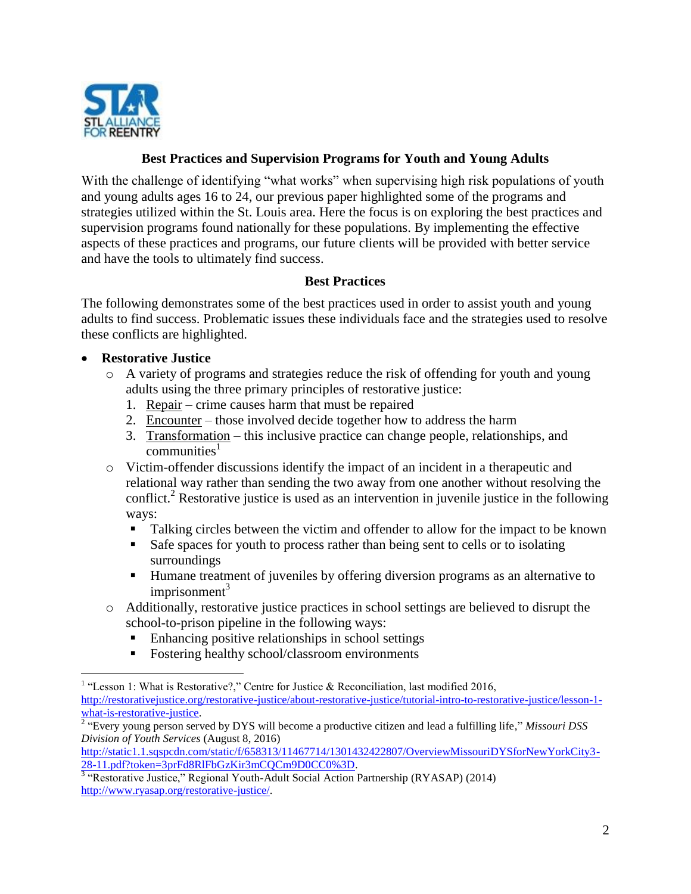

### **Best Practices and Supervision Programs for Youth and Young Adults**

With the challenge of identifying "what works" when supervising high risk populations of youth and young adults ages 16 to 24, our previous paper highlighted some of the programs and strategies utilized within the St. Louis area. Here the focus is on exploring the best practices and supervision programs found nationally for these populations. By implementing the effective aspects of these practices and programs, our future clients will be provided with better service and have the tools to ultimately find success.

### **Best Practices**

The following demonstrates some of the best practices used in order to assist youth and young adults to find success. Problematic issues these individuals face and the strategies used to resolve these conflicts are highlighted.

### **Restorative Justice**

- o A variety of programs and strategies reduce the risk of offending for youth and young adults using the three primary principles of restorative justice:
	- 1. Repair crime causes harm that must be repaired
	- 2. Encounter those involved decide together how to address the harm
	- 3. Transformation this inclusive practice can change people, relationships, and  $commu<sub>tr</sub>ities<sup>1</sup>$
- o Victim-offender discussions identify the impact of an incident in a therapeutic and relational way rather than sending the two away from one another without resolving the conflict. <sup>2</sup> Restorative justice is used as an intervention in juvenile justice in the following ways:
	- Talking circles between the victim and offender to allow for the impact to be known
	- Safe spaces for youth to process rather than being sent to cells or to isolating surroundings
	- Humane treatment of juveniles by offering diversion programs as an alternative to imprisonment<sup>3</sup>
- o Additionally, restorative justice practices in school settings are believed to disrupt the school-to-prison pipeline in the following ways:
	- Enhancing positive relationships in school settings
	- Fostering healthy school/classroom environments

<sup>&</sup>lt;sup>1</sup> "Lesson 1: What is Restorative?," Centre for Justice & Reconciliation, last modified 2016, [http://restorativejustice.org/restorative-justice/about-restorative-justice/tutorial-intro-to-restorative-justice/lesson-1](http://restorativejustice.org/restorative-justice/about-restorative-justice/tutorial-intro-to-restorative-justice/lesson-1-what-is-restorative-justice) [what-is-restorative-justice.](http://restorativejustice.org/restorative-justice/about-restorative-justice/tutorial-intro-to-restorative-justice/lesson-1-what-is-restorative-justice)

<sup>2</sup> "Every young person served by DYS will become a productive citizen and lead a fulfilling life," *Missouri DSS Division of Youth Services* (August 8, 2016)

[http://static1.1.sqspcdn.com/static/f/658313/11467714/1301432422807/OverviewMissouriDYSforNewYorkCity3-](http://static1.1.sqspcdn.com/static/f/658313/11467714/1301432422807/OverviewMissouriDYSforNewYorkCity3-28-11.pdf?token=3prFd8RlFbGzKir3mCQCm9D0CC0%3D) [28-11.pdf?token=3prFd8RlFbGzKir3mCQCm9D0CC0%3D.](http://static1.1.sqspcdn.com/static/f/658313/11467714/1301432422807/OverviewMissouriDYSforNewYorkCity3-28-11.pdf?token=3prFd8RlFbGzKir3mCQCm9D0CC0%3D)<br><sup>3</sup> "Restorative Justice," Regional Youth-Adult Social Action Partnership (RYASAP) (2014)

[http://www.ryasap.org/restorative-justice/.](http://www.ryasap.org/restorative-justice/)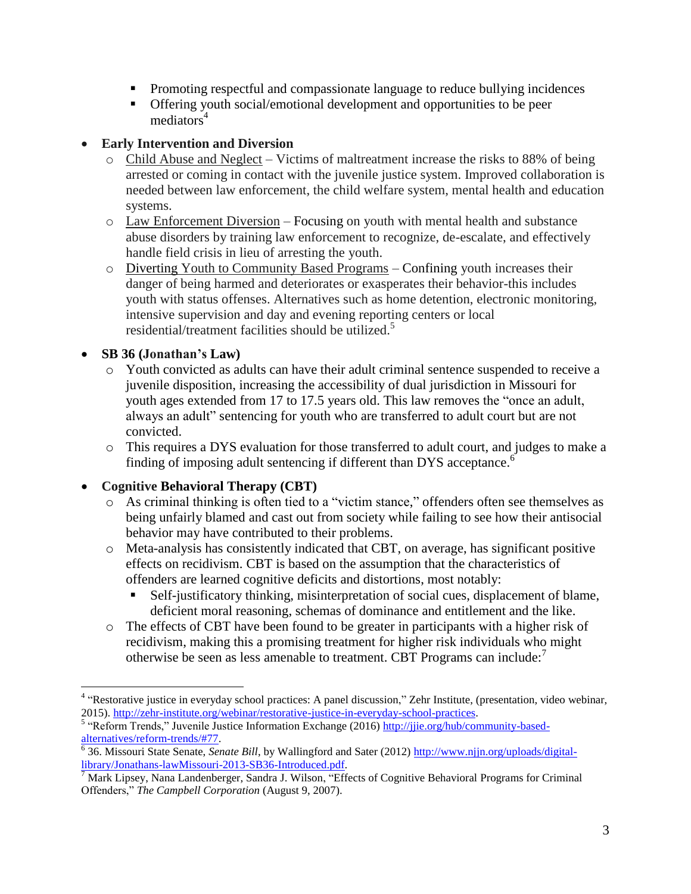- Promoting respectful and compassionate language to reduce bullying incidences
- Offering youth social/emotional development and opportunities to be peer mediators<sup>4</sup>

### **Early Intervention and Diversion**

- o Child Abuse and Neglect Victims of maltreatment increase the risks to 88% of being arrested or coming in contact with the juvenile justice system. Improved collaboration is needed between law enforcement, the child welfare system, mental health and education systems.
- o Law Enforcement Diversion Focusing on youth with mental health and substance abuse disorders by training law enforcement to recognize, de-escalate, and effectively handle field crisis in lieu of arresting the youth.
- o Diverting Youth to Community Based Programs Confining youth increases their danger of being harmed and deteriorates or exasperates their behavior-this includes youth with status offenses. Alternatives such as home detention, electronic monitoring, intensive supervision and day and evening reporting centers or local residential/treatment facilities should be utilized.<sup>5</sup>

## **SB 36 (Jonathan's Law)**

 $\overline{a}$ 

- o Youth convicted as adults can have their adult criminal sentence suspended to receive a juvenile disposition, increasing the accessibility of dual jurisdiction in Missouri for youth ages extended from 17 to 17.5 years old. This law removes the "once an adult, always an adult" sentencing for youth who are transferred to adult court but are not convicted.
- o This requires a DYS evaluation for those transferred to adult court, and judges to make a finding of imposing adult sentencing if different than DYS acceptance.<sup>6</sup>

## **Cognitive Behavioral Therapy (CBT)**

- o As criminal thinking is often tied to a "victim stance," offenders often see themselves as being unfairly blamed and cast out from society while failing to see how their antisocial behavior may have contributed to their problems.
- o Meta-analysis has consistently indicated that CBT, on average, has significant positive effects on recidivism. CBT is based on the assumption that the characteristics of offenders are learned cognitive deficits and distortions, most notably:
	- Self-justificatory thinking, misinterpretation of social cues, displacement of blame, deficient moral reasoning, schemas of dominance and entitlement and the like.
- o The effects of CBT have been found to be greater in participants with a higher risk of recidivism, making this a promising treatment for higher risk individuals who might otherwise be seen as less amenable to treatment. CBT Programs can include: $<sup>7</sup>$ </sup>

<sup>&</sup>lt;sup>4</sup> "Restorative justice in everyday school practices: A panel discussion," Zehr Institute, (presentation, video webinar, 2015). [http://zehr-institute.org/webinar/restorative-justice-in-everyday-school-practices.](http://zehr-institute.org/webinar/restorative-justice-in-everyday-school-practices)

<sup>&</sup>lt;sup>5</sup> "Reform Trends," Juvenile Justice Information Exchange (2016) http://jie.org/hub/community-based[alternatives/reform-trends/#77.](http://jjie.org/hub/community-based-alternatives/reform-trends/#77)<br><sup>6</sup> 36. Missouri State Senate, *Senate Bill*, by Wallingford and Sater (2012) <u>http://www.njjn.org/uploads/digital-</u>

[library/Jonathans-lawMissouri-2013-SB36-Introduced.pdf.](http://www.njjn.org/uploads/digital-library/Jonathans-lawMissouri-2013-SB36-Introduced.pdf)

<sup>&</sup>lt;sup>7</sup> Mark Lipsey, Nana Landenberger, Sandra J. Wilson, "Effects of Cognitive Behavioral Programs for Criminal Offenders," *The Campbell Corporation* (August 9, 2007).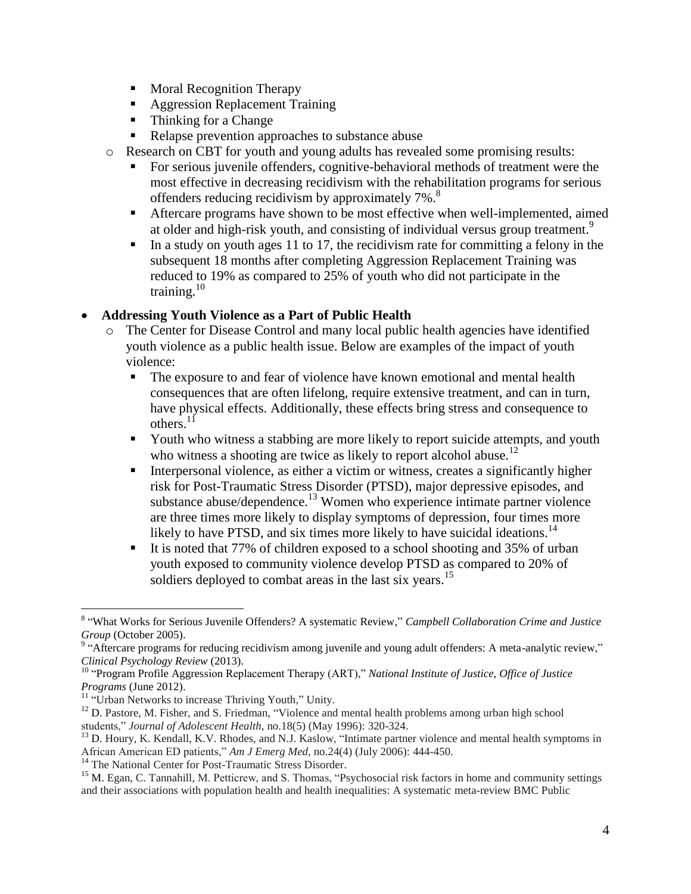- Moral Recognition Therapy
- **Aggression Replacement Training**
- Thinking for a Change
- Relapse prevention approaches to substance abuse
- o Research on CBT for youth and young adults has revealed some promising results:
	- For serious juvenile offenders, cognitive-behavioral methods of treatment were the most effective in decreasing recidivism with the rehabilitation programs for serious offenders reducing recidivism by approximately 7%.<sup>8</sup>
	- Aftercare programs have shown to be most effective when well-implemented, aimed at older and high-risk youth, and consisting of individual versus group treatment.<sup>9</sup>
	- In a study on youth ages 11 to 17, the recidivism rate for committing a felony in the subsequent 18 months after completing Aggression Replacement Training was reduced to 19% as compared to 25% of youth who did not participate in the training. $10$

### **Addressing Youth Violence as a Part of Public Health**

- o The Center for Disease Control and many local public health agencies have identified youth violence as a public health issue. Below are examples of the impact of youth violence:
	- The exposure to and fear of violence have known emotional and mental health consequences that are often lifelong, require extensive treatment, and can in turn, have physical effects. Additionally, these effects bring stress and consequence to others. $11$
	- Youth who witness a stabbing are more likely to report suicide attempts, and youth who witness a shooting are twice as likely to report alcohol abuse.<sup>12</sup>
	- Interpersonal violence, as either a victim or witness, creates a significantly higher risk for Post-Traumatic Stress Disorder (PTSD), major depressive episodes, and substance abuse/dependence.<sup>13</sup> Women who experience intimate partner violence are three times more likely to display symptoms of depression, four times more likely to have PTSD, and six times more likely to have suicidal ideations.<sup>14</sup>
	- It is noted that 77% of children exposed to a school shooting and 35% of urban youth exposed to community violence develop PTSD as compared to 20% of soldiers deployed to combat areas in the last six years.<sup>15</sup>

 $\overline{a}$ 

<sup>14</sup> The National Center for Post-Traumatic Stress Disorder.

<sup>8</sup> "What Works for Serious Juvenile Offenders? A systematic Review," *Campbell Collaboration Crime and Justice Group* (October 2005).

<sup>&</sup>lt;sup>9</sup> "Aftercare programs for reducing recidivism among juvenile and young adult offenders: A meta-analytic review," *Clinical Psychology Review* (2013).

<sup>10</sup> "Program Profile Aggression Replacement Therapy (ART)," *National Institute of Justice, Office of Justice Programs* (June 2012).

<sup>&</sup>lt;sup>11</sup> "Urban Networks to increase Thriving Youth," Unity.

 $12$  D. Pastore, M. Fisher, and S. Friedman, "Violence and mental health problems among urban high school students," *Journal of Adolescent Health*, no.18(5) (May 1996): 320-324.

<sup>&</sup>lt;sup>13</sup> D. Houry, K. Kendall, K.V. Rhodes, and N.J. Kaslow, "Intimate partner violence and mental health symptoms in African American ED patients," *Am J Emerg Med,* no.24(4) (July 2006): 444-450.

<sup>&</sup>lt;sup>15</sup> M. Egan, C. Tannahill, M. Petticrew, and S. Thomas, "Psychosocial risk factors in home and community settings and their associations with population health and health inequalities: A systematic meta-review BMC Public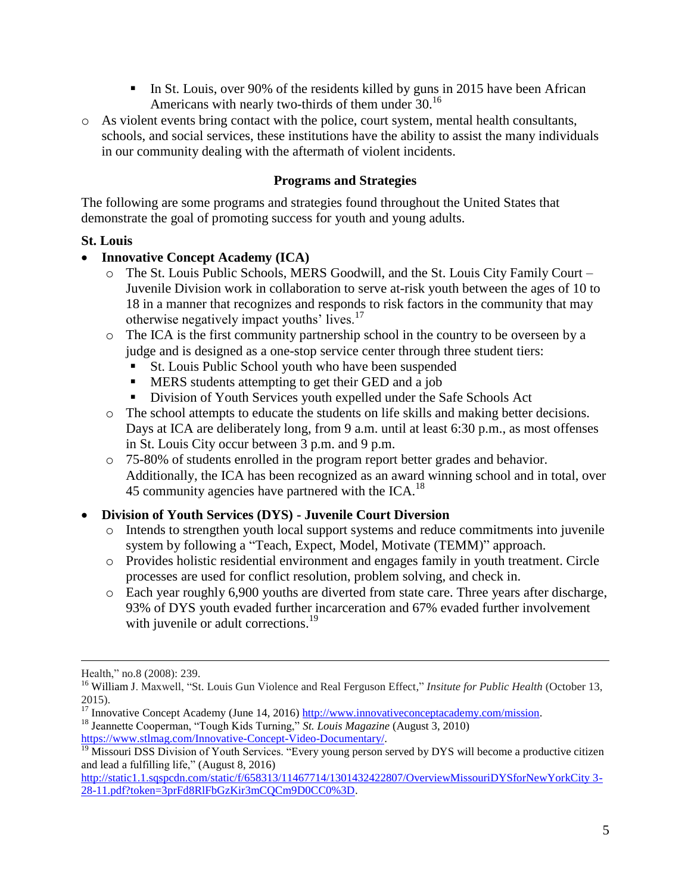- In St. Louis, over 90% of the residents killed by guns in 2015 have been African Americans with nearly two-thirds of them under 30.<sup>16</sup>
- o As violent events bring contact with the police, court system, mental health consultants, schools, and social services, these institutions have the ability to assist the many individuals in our community dealing with the aftermath of violent incidents.

### **Programs and Strategies**

The following are some programs and strategies found throughout the United States that demonstrate the goal of promoting success for youth and young adults.

### **St. Louis**

### **Innovative Concept Academy (ICA)**

- o The St. Louis Public Schools, MERS Goodwill, and the St. Louis City Family Court Juvenile Division work in collaboration to serve at-risk youth between the ages of 10 to 18 in a manner that recognizes and responds to risk factors in the community that may otherwise negatively impact youths' lives.<sup>17</sup>
- o The ICA is the first community partnership school in the country to be overseen by a judge and is designed as a one-stop service center through three student tiers:
	- St. Louis Public School youth who have been suspended
	- **MERS** students attempting to get their GED and a job
	- Division of Youth Services youth expelled under the Safe Schools Act
- o The school attempts to educate the students on life skills and making better decisions. Days at ICA are deliberately long, from 9 a.m. until at least 6:30 p.m., as most offenses in St. Louis City occur between 3 p.m. and 9 p.m.
- o 75-80% of students enrolled in the program report better grades and behavior. Additionally, the ICA has been recognized as an award winning school and in total, over 45 community agencies have partnered with the ICA.<sup>18</sup>

## **Division of Youth Services (DYS) - Juvenile Court Diversion**

- o Intends to strengthen youth local support systems and reduce commitments into juvenile system by following a "Teach, Expect, Model, Motivate (TEMM)" approach.
- o Provides holistic residential environment and engages family in youth treatment. Circle processes are used for conflict resolution, problem solving, and check in.
- o Each year roughly 6,900 youths are diverted from state care. Three years after discharge, 93% of DYS youth evaded further incarceration and 67% evaded further involvement with juvenile or adult corrections.<sup>19</sup>

 $\overline{a}$ 

<sup>18</sup> Jeannette Cooperman, "Tough Kids Turning," *St. Louis Magazine* (August 3, 2010) [https://www.stlmag.com/Innovative-Concept-Video-Documentary/.](https://www.stlmag.com/Innovative-Concept-Video-Documentary/)

Health," no.8 (2008): 239.

<sup>&</sup>lt;sup>16</sup> William J. Maxwell, "St. Louis Gun Violence and Real Ferguson Effect," Insitute for Public Health (October 13, 2015).

<sup>&</sup>lt;sup>17</sup> Innovative Concept Academy (June 14, 2016) [http://www.innovativeconceptacademy.com/mission.](http://www.innovativeconceptacademy.com/mission)

<sup>&</sup>lt;sup>19</sup> Missouri DSS Division of Youth Services. "Every young person served by DYS will become a productive citizen and lead a fulfilling life," (August 8, 2016)

[http://static1.1.sqspcdn.com/static/f/658313/11467714/1301432422807/OverviewMissouriDYSforNewYorkCity 3-](http://static1.1.sqspcdn.com/static/f/658313/11467714/1301432422807/OverviewMissouriDYSforNewYorkCity%203-28-11.pdf?token=3prFd8RlFbGzKir3mCQCm9D0CC0%3D) [28-11.pdf?token=3prFd8RlFbGzKir3mCQCm9D0CC0%3D.](http://static1.1.sqspcdn.com/static/f/658313/11467714/1301432422807/OverviewMissouriDYSforNewYorkCity%203-28-11.pdf?token=3prFd8RlFbGzKir3mCQCm9D0CC0%3D)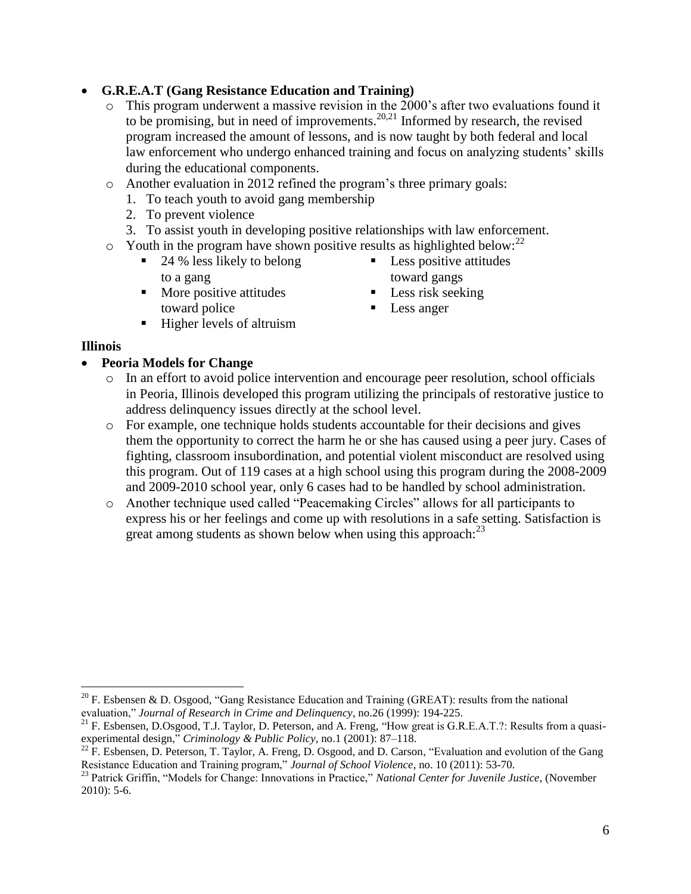# **G.R.E.A.T (Gang Resistance Education and Training)**

- o This program underwent a massive revision in the 2000's after two evaluations found it to be promising, but in need of improvements.<sup>20,21</sup> Informed by research, the revised program increased the amount of lessons, and is now taught by both federal and local law enforcement who undergo enhanced training and focus on analyzing students' skills during the educational components.
- o Another evaluation in 2012 refined the program's three primary goals:
	- 1. To teach youth to avoid gang membership
	- 2. To prevent violence
	- 3. To assist youth in developing positive relationships with law enforcement.
- $\circ$  Youth in the program have shown positive results as highlighted below: <sup>22</sup>
	- 24 % less likely to belong to a gang
	- $\blacksquare$  More positive attitudes toward police
	- $\blacksquare$  Higher levels of altruism
- **Illinois**

- **Peoria Models for Change**
	- o In an effort to avoid police intervention and encourage peer resolution, school officials in Peoria, Illinois developed this program utilizing the principals of restorative justice to address delinquency issues directly at the school level.
	- o For example, one technique holds students accountable for their decisions and gives them the opportunity to correct the harm he or she has caused using a peer jury. Cases of fighting, classroom insubordination, and potential violent misconduct are resolved using this program. Out of 119 cases at a high school using this program during the 2008-2009 and 2009-2010 school year, only 6 cases had to be handled by school administration.
	- o Another technique used called "Peacemaking Circles" allows for all participants to express his or her feelings and come up with resolutions in a safe setting. Satisfaction is great among students as shown below when using this approach:  $2<sup>3</sup>$
- Less positive attitudes toward gangs
- $\blacksquare$  Less risk seeking
- **Less anger**

<sup>&</sup>lt;sup>20</sup> F. Esbensen & D. Osgood, "Gang Resistance Education and Training (GREAT): results from the national evaluation," *Journal of Research in Crime and Delinquency*, no.26 (1999): 194-225.

 $21$  F. Esbensen, D.Osgood, T.J. Taylor, D. Peterson, and A. Freng, "How great is G.R.E.A.T.?: Results from a quasiexperimental design," *Criminology & Public Policy*, no.1 (2001): 87–118.

 $^{22}$  F. Esbensen, D. Peterson, T. Taylor, A. Freng, D. Osgood, and D. Carson, "Evaluation and evolution of the Gang Resistance Education and Training program," *Journal of School Violence*, no. 10 (2011): 53-70.

<sup>23</sup> Patrick Griffin, "Models for Change: Innovations in Practice," *National Center for Juvenile Justice*, (November  $2010$ : 5-6.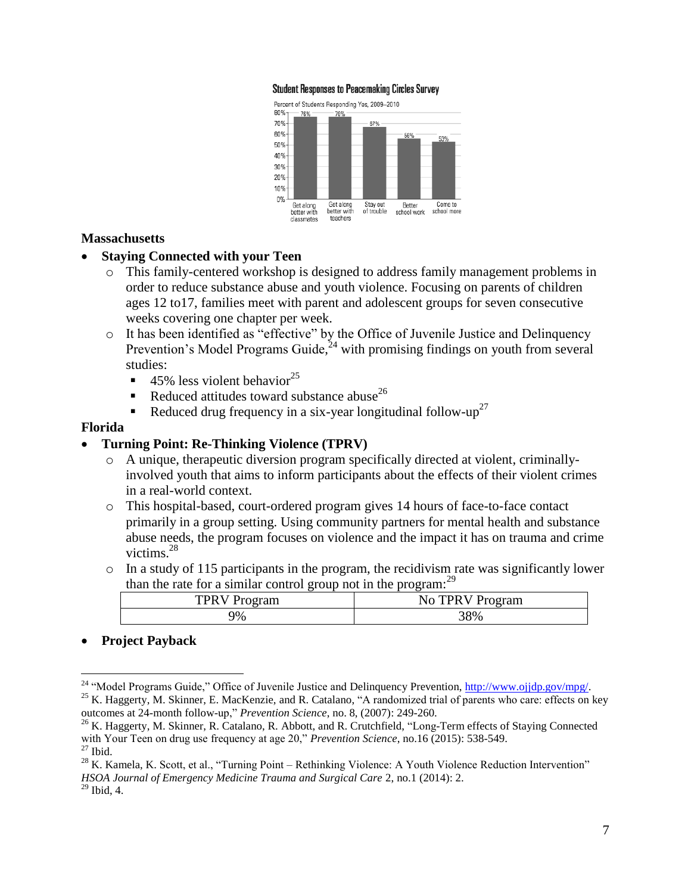#### **Student Responses to Peacemaking Circles Survey**



#### **Massachusetts**

#### **Staying Connected with your Teen**

- o This family-centered workshop is designed to address family management problems in order to reduce substance abuse and youth violence. Focusing on parents of children ages 12 to17, families meet with parent and adolescent groups for seven consecutive weeks covering one chapter per week.
- o It has been identified as "effective" by the Office of Juvenile Justice and Delinquency Prevention's Model Programs Guide, $^{24}$  with promising findings on youth from several studies:
	- 45% less violent behavior<sup>25</sup>
	- Reduced attitudes toward substance abuse<sup>26</sup>
	- Reduced drug frequency in a six-year longitudinal follow-up<sup>27</sup>

#### **Florida**

#### **Turning Point: Re-Thinking Violence (TPRV)**

- o A unique, therapeutic diversion program specifically directed at violent, criminallyinvolved youth that aims to inform participants about the effects of their violent crimes in a real-world context.
- o This hospital-based, court-ordered program gives 14 hours of face-to-face contact primarily in a group setting. Using community partners for mental health and substance abuse needs, the program focuses on violence and the impact it has on trauma and crime victims.<sup>28</sup>
- o In a study of 115 participants in the program, the recidivism rate was significantly lower than the rate for a similar control group not in the program:<sup>29</sup>

| ີ                           | . .                        |
|-----------------------------|----------------------------|
| TPR <sup>®</sup><br>Program | TPRV Pr.<br>No.<br>Program |
| 9%                          | 38%                        |

#### **Project Payback**

<sup>&</sup>lt;sup>24</sup> "Model Programs Guide," Office of Juvenile Justice and Delinquency Prevention, [http://www.ojjdp.gov/mpg/.](http://www.ojjdp.gov/mpg/)

<sup>&</sup>lt;sup>25</sup> K. Haggerty, M. Skinner, E. MacKenzie, and R. Catalano, "A randomized trial of parents who care: effects on key outcomes at 24-month follow-up," *Prevention Science*, no. 8, (2007): 249-260.

<sup>&</sup>lt;sup>26</sup> K. Haggerty, M. Skinner, R. Catalano, R. Abbott, and R. Crutchfield, "Long-Term effects of Staying Connected with Your Teen on drug use frequency at age 20," *Prevention Science*, no.16 (2015): 538-549.  $^{27}$  Ibid.

<sup>&</sup>lt;sup>28</sup> K. Kamela, K. Scott, et al., "Turning Point – Rethinking Violence: A Youth Violence Reduction Intervention" *HSOA Journal of Emergency Medicine Trauma and Surgical Care* 2, no.1 (2014): 2.  $29$  Ibid, 4.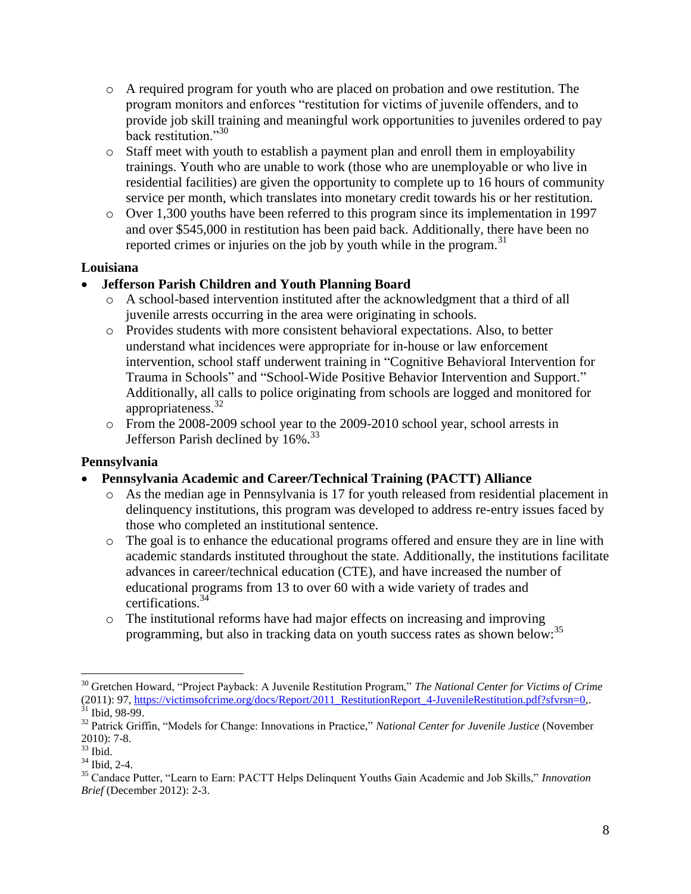- $\circ$  A required program for youth who are placed on probation and owe restitution. The program monitors and enforces "restitution for victims of juvenile offenders, and to provide job skill training and meaningful work opportunities to juveniles ordered to pay back restitution."<sup>30</sup>
- o Staff meet with youth to establish a payment plan and enroll them in employability trainings. Youth who are unable to work (those who are unemployable or who live in residential facilities) are given the opportunity to complete up to 16 hours of community service per month, which translates into monetary credit towards his or her restitution.
- o Over 1,300 youths have been referred to this program since its implementation in 1997 and over \$545,000 in restitution has been paid back. Additionally, there have been no reported crimes or injuries on the job by youth while in the program. $31$

### **Louisiana**

### **Jefferson Parish Children and Youth Planning Board**

- o A school-based intervention instituted after the acknowledgment that a third of all juvenile arrests occurring in the area were originating in schools.
- o Provides students with more consistent behavioral expectations. Also, to better understand what incidences were appropriate for in-house or law enforcement intervention, school staff underwent training in "Cognitive Behavioral Intervention for Trauma in Schools" and "School-Wide Positive Behavior Intervention and Support." Additionally, all calls to police originating from schools are logged and monitored for appropriateness.<sup>32</sup>
- o From the 2008-2009 school year to the 2009-2010 school year, school arrests in Jefferson Parish declined by 16%.<sup>33</sup>

### **Pennsylvania**

- **Pennsylvania Academic and Career/Technical Training (PACTT) Alliance**
	- o As the median age in Pennsylvania is 17 for youth released from residential placement in delinquency institutions, this program was developed to address re-entry issues faced by those who completed an institutional sentence.
	- o The goal is to enhance the educational programs offered and ensure they are in line with academic standards instituted throughout the state. Additionally, the institutions facilitate advances in career/technical education (CTE), and have increased the number of educational programs from 13 to over 60 with a wide variety of trades and certifications.<sup>34</sup>
	- o The institutional reforms have had major effects on increasing and improving programming, but also in tracking data on youth success rates as shown below:<sup>35</sup>

<sup>30</sup> Gretchen Howard, "Project Payback: A Juvenile Restitution Program," *The National Center for Victims of Crime* (2011): 97, [https://victimsofcrime.org/docs/Report/2011\\_RestitutionReport\\_4-JuvenileRestitution.pdf?sfvrsn=0,](https://victimsofcrime.org/docs/Report/2011_RestitutionReport_4-JuvenileRestitution.pdf?sfvrsn=0).

 $31$  Ibid, 98-99.

<sup>32</sup> Patrick Griffin, "Models for Change: Innovations in Practice," *National Center for Juvenile Justice* (November 2010): 7-8.

 $33$  Ibid.

<sup>34</sup> Ibid, 2-4.

<sup>35</sup> Candace Putter, "Learn to Earn: PACTT Helps Delinquent Youths Gain Academic and Job Skills," *Innovation Brief* (December 2012): 2-3.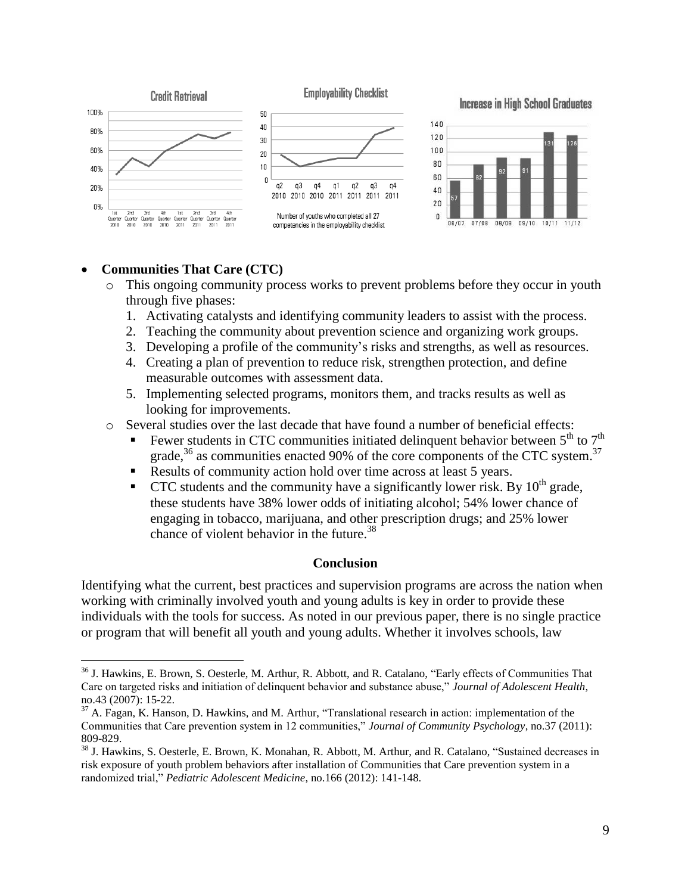

### **Communities That Care (CTC)**

 $\overline{a}$ 

- o This ongoing community process works to prevent problems before they occur in youth through five phases:
	- 1. Activating catalysts and identifying community leaders to assist with the process.
	- 2. Teaching the community about prevention science and organizing work groups.
	- 3. Developing a profile of the community's risks and strengths, as well as resources.
	- 4. Creating a plan of prevention to reduce risk, strengthen protection, and define measurable outcomes with assessment data.
	- 5. Implementing selected programs, monitors them, and tracks results as well as looking for improvements.
- o Several studies over the last decade that have found a number of beneficial effects:
	- Fewer students in CTC communities initiated delinquent behavior between  $5<sup>th</sup>$  to  $7<sup>th</sup>$ grade,  $36$  as communities enacted 90% of the core components of the CTC system.<sup>37</sup>
	- Results of community action hold over time across at least 5 years.
	- CTC students and the community have a significantly lower risk. By  $10<sup>th</sup>$  grade, these students have 38% lower odds of initiating alcohol; 54% lower chance of engaging in tobacco, marijuana, and other prescription drugs; and 25% lower chance of violent behavior in the future.<sup>38</sup>

#### **Conclusion**

Identifying what the current, best practices and supervision programs are across the nation when working with criminally involved youth and young adults is key in order to provide these individuals with the tools for success. As noted in our previous paper, there is no single practice or program that will benefit all youth and young adults. Whether it involves schools, law

<sup>&</sup>lt;sup>36</sup> J. Hawkins, E. Brown, S. Oesterle, M. Arthur, R. Abbott, and R. Catalano, "Early effects of Communities That Care on targeted risks and initiation of delinquent behavior and substance abuse," *Journal of Adolescent Health*, no.43 (2007): 15-22.

 $37$  A. Fagan, K. Hanson, D. Hawkins, and M. Arthur, "Translational research in action: implementation of the Communities that Care prevention system in 12 communities," *Journal of Community Psychology*, no.37 (2011): 809-829.

<sup>&</sup>lt;sup>38</sup> J. Hawkins, S. Oesterle, E. Brown, K. Monahan, R. Abbott, M. Arthur, and R. Catalano, "Sustained decreases in risk exposure of youth problem behaviors after installation of Communities that Care prevention system in a randomized trial," *Pediatric Adolescent Medicine*, no.166 (2012): 141-148.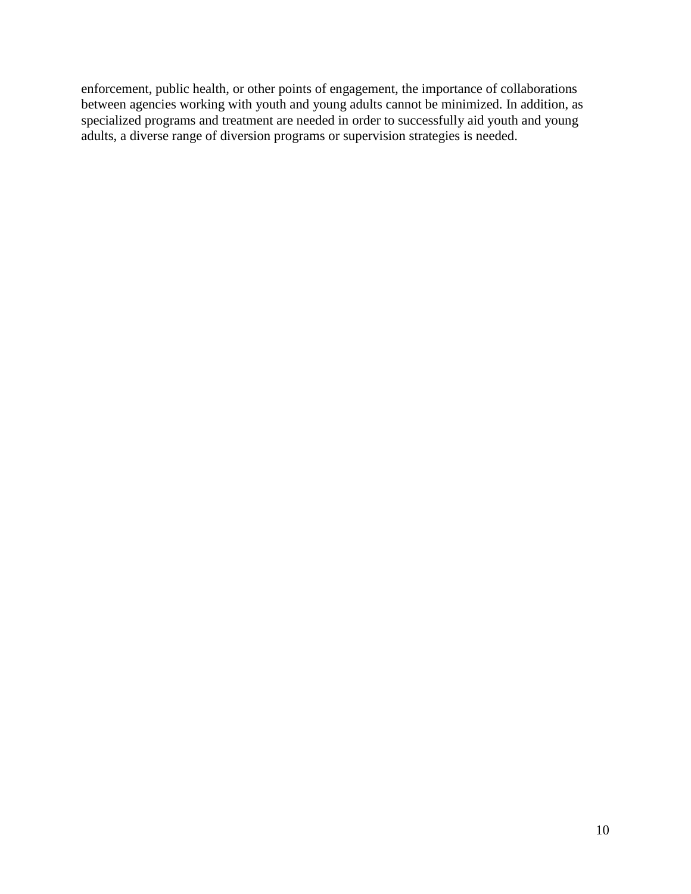enforcement, public health, or other points of engagement, the importance of collaborations between agencies working with youth and young adults cannot be minimized. In addition, as specialized programs and treatment are needed in order to successfully aid youth and young adults, a diverse range of diversion programs or supervision strategies is needed.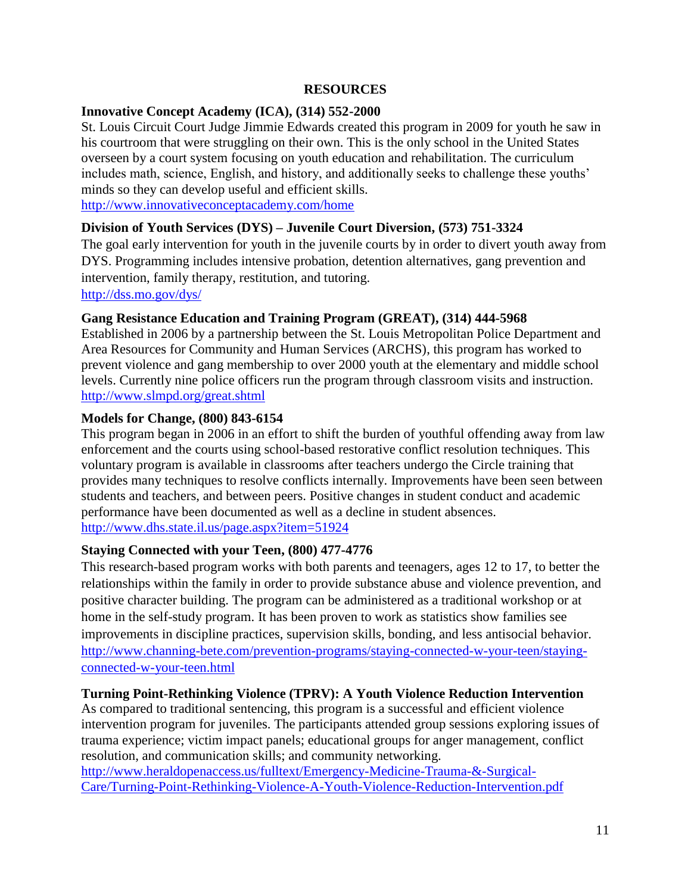#### **RESOURCES**

### **Innovative Concept Academy (ICA), (314) 552-2000**

St. Louis Circuit Court Judge Jimmie Edwards created this program in 2009 for youth he saw in his courtroom that were struggling on their own. This is the only school in the United States overseen by a court system focusing on youth education and rehabilitation. The curriculum includes math, science, English, and history, and additionally seeks to challenge these youths' minds so they can develop useful and efficient skills.

<http://www.innovativeconceptacademy.com/home>

### **Division of Youth Services (DYS) – Juvenile Court Diversion, (573) 751-3324**

The goal early intervention for youth in the juvenile courts by in order to divert youth away from DYS. Programming includes intensive probation, detention alternatives, gang prevention and intervention, family therapy, restitution, and tutoring.

<http://dss.mo.gov/dys/>

#### **Gang Resistance Education and Training Program (GREAT), (314) 444-5968**

Established in 2006 by a partnership between the St. Louis Metropolitan Police Department and Area Resources for Community and Human Services (ARCHS), this program has worked to prevent violence and gang membership to over 2000 youth at the elementary and middle school levels. Currently nine police officers run the program through classroom visits and instruction. <http://www.slmpd.org/great.shtml>

#### **Models for Change, (800) 843-6154**

This program began in 2006 in an effort to shift the burden of youthful offending away from law enforcement and the courts using school-based restorative conflict resolution techniques. This voluntary program is available in classrooms after teachers undergo the Circle training that provides many techniques to resolve conflicts internally. Improvements have been seen between students and teachers, and between peers. Positive changes in student conduct and academic performance have been documented as well as a decline in student absences. <http://www.dhs.state.il.us/page.aspx?item=51924>

#### **Staying Connected with your Teen, (800) 477-4776**

This research-based program works with both parents and teenagers, ages 12 to 17, to better the relationships within the family in order to provide substance abuse and violence prevention, and positive character building. The program can be administered as a traditional workshop or at home in the self-study program. It has been proven to work as statistics show families see improvements in discipline practices, supervision skills, bonding, and less antisocial behavior. [http://www.channing-bete.com/prevention-programs/staying-connected-w-your-teen/staying](http://www.channing-bete.com/prevention-programs/staying-connected-w-your-teen/staying-connected-w-your-teen.html)[connected-w-your-teen.html](http://www.channing-bete.com/prevention-programs/staying-connected-w-your-teen/staying-connected-w-your-teen.html)

#### **Turning Point-Rethinking Violence (TPRV): A Youth Violence Reduction Intervention**

As compared to traditional sentencing, this program is a successful and efficient violence intervention program for juveniles. The participants attended group sessions exploring issues of trauma experience; victim impact panels; educational groups for anger management, conflict resolution, and communication skills; and community networking.

[http://www.heraldopenaccess.us/fulltext/Emergency-Medicine-Trauma-&-Surgical-](http://www.heraldopenaccess.us/fulltext/Emergency-Medicine-Trauma-&-Surgical-Care/Turning-Point-Rethinking-Violence-A-Youth-Violence-Reduction-Intervention.pdf)[Care/Turning-Point-Rethinking-Violence-A-Youth-Violence-Reduction-Intervention.pdf](http://www.heraldopenaccess.us/fulltext/Emergency-Medicine-Trauma-&-Surgical-Care/Turning-Point-Rethinking-Violence-A-Youth-Violence-Reduction-Intervention.pdf)